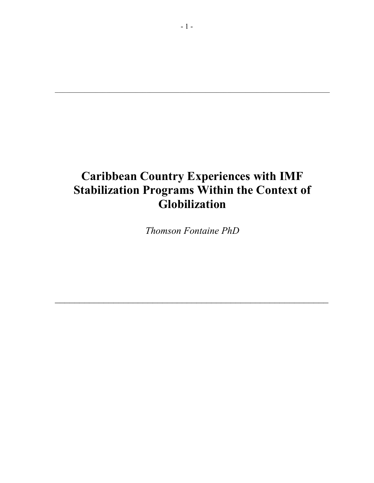# **Caribbean Country Experiences with IMF Stabilization Programs Within the Context of Globilization**

*Thomson Fontaine PhD* 

 $\mathcal{L} = \{ \mathcal{L} \mid \mathcal{L} \in \mathcal{L} \}$ 

 $\mathcal{L}_\mathcal{L} = \mathcal{L}_\mathcal{L} = \mathcal{L}_\mathcal{L} = \mathcal{L}_\mathcal{L} = \mathcal{L}_\mathcal{L} = \mathcal{L}_\mathcal{L} = \mathcal{L}_\mathcal{L} = \mathcal{L}_\mathcal{L} = \mathcal{L}_\mathcal{L} = \mathcal{L}_\mathcal{L} = \mathcal{L}_\mathcal{L} = \mathcal{L}_\mathcal{L} = \mathcal{L}_\mathcal{L} = \mathcal{L}_\mathcal{L} = \mathcal{L}_\mathcal{L} = \mathcal{L}_\mathcal{L} = \mathcal{L}_\mathcal{L}$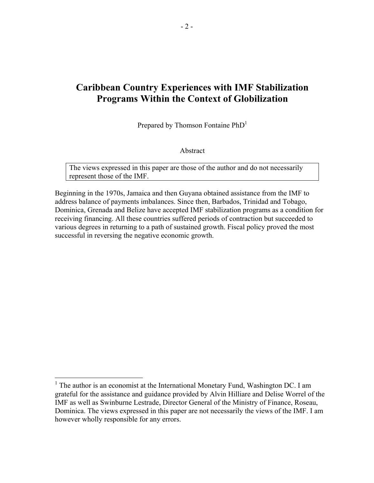## **Caribbean Country Experiences with IMF Stabilization Programs Within the Context of Globilization**

Prepared by Thomson Fontaine PhD<sup>1</sup>

Abstract

The views expressed in this paper are those of the author and do not necessarily represent those of the IMF.

Beginning in the 1970s, Jamaica and then Guyana obtained assistance from the IMF to address balance of payments imbalances. Since then, Barbados, Trinidad and Tobago, Dominica, Grenada and Belize have accepted IMF stabilization programs as a condition for receiving financing. All these countries suffered periods of contraction but succeeded to various degrees in returning to a path of sustained growth. Fiscal policy proved the most successful in reversing the negative economic growth.

 $\overline{a}$ 

<sup>&</sup>lt;sup>1</sup> The author is an economist at the International Monetary Fund, Washington DC. I am grateful for the assistance and guidance provided by Alvin Hilliare and Delise Worrel of the IMF as well as Swinburne Lestrade, Director General of the Ministry of Finance, Roseau, Dominica. The views expressed in this paper are not necessarily the views of the IMF. I am however wholly responsible for any errors.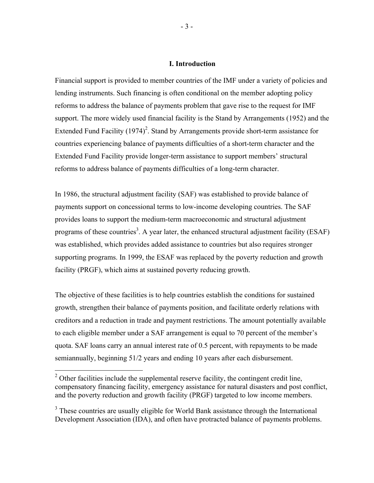#### **I. Introduction**

Financial support is provided to member countries of the IMF under a variety of policies and lending instruments. Such financing is often conditional on the member adopting policy reforms to address the balance of payments problem that gave rise to the request for IMF support. The more widely used financial facility is the Stand by Arrangements (1952) and the Extended Fund Facility  $(1974)^2$ . Stand by Arrangements provide short-term assistance for countries experiencing balance of payments difficulties of a short-term character and the Extended Fund Facility provide longer-term assistance to support members' structural reforms to address balance of payments difficulties of a long-term character.

In 1986, the structural adjustment facility (SAF) was established to provide balance of payments support on concessional terms to low-income developing countries. The SAF provides loans to support the medium-term macroeconomic and structural adjustment programs of these countries<sup>3</sup>. A year later, the enhanced structural adjustment facility (ESAF) was established, which provides added assistance to countries but also requires stronger supporting programs. In 1999, the ESAF was replaced by the poverty reduction and growth facility (PRGF), which aims at sustained poverty reducing growth.

The objective of these facilities is to help countries establish the conditions for sustained growth, strengthen their balance of payments position, and facilitate orderly relations with creditors and a reduction in trade and payment restrictions. The amount potentially available to each eligible member under a SAF arrangement is equal to 70 percent of the member's quota. SAF loans carry an annual interest rate of 0.5 percent, with repayments to be made semiannually, beginning 51/2 years and ending 10 years after each disbursement.

<sup>&</sup>lt;sup>2</sup> Other facilities include the supplemental reserve facility, the contingent credit line, compensatory financing facility, emergency assistance for natural disasters and post conflict, and the poverty reduction and growth facility (PRGF) targeted to low income members.

<sup>&</sup>lt;sup>3</sup> These countries are usually eligible for World Bank assistance through the International Development Association (IDA), and often have protracted balance of payments problems.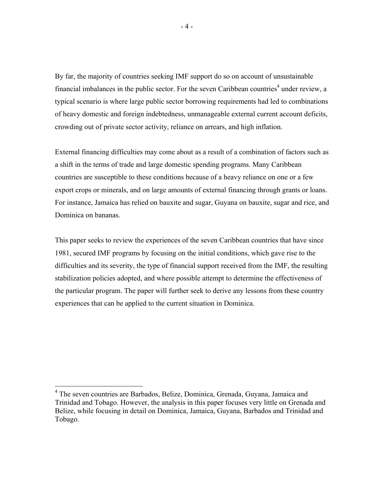By far, the majority of countries seeking IMF support do so on account of unsustainable financial imbalances in the public sector. For the seven Caribbean countries<sup>4</sup> under review, a typical scenario is where large public sector borrowing requirements had led to combinations of heavy domestic and foreign indebtedness, unmanageable external current account deficits, crowding out of private sector activity, reliance on arrears, and high inflation.

External financing difficulties may come about as a result of a combination of factors such as a shift in the terms of trade and large domestic spending programs. Many Caribbean countries are susceptible to these conditions because of a heavy reliance on one or a few export crops or minerals, and on large amounts of external financing through grants or loans. For instance, Jamaica has relied on bauxite and sugar, Guyana on bauxite, sugar and rice, and Dominica on bananas.

This paper seeks to review the experiences of the seven Caribbean countries that have since 1981, secured IMF programs by focusing on the initial conditions, which gave rise to the difficulties and its severity, the type of financial support received from the IMF, the resulting stabilization policies adopted, and where possible attempt to determine the effectiveness of the particular program. The paper will further seek to derive any lessons from these country experiences that can be applied to the current situation in Dominica.

 4 The seven countries are Barbados, Belize, Dominica, Grenada, Guyana, Jamaica and Trinidad and Tobago. However, the analysis in this paper focuses very little on Grenada and Belize, while focusing in detail on Dominica, Jamaica, Guyana, Barbados and Trinidad and Tobago.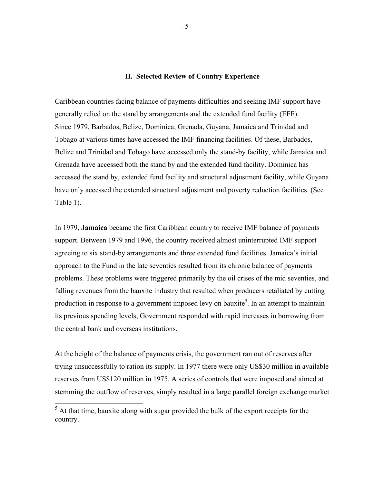#### **II. Selected Review of Country Experience**

Caribbean countries facing balance of payments difficulties and seeking IMF support have generally relied on the stand by arrangements and the extended fund facility (EFF). Since 1979, Barbados, Belize, Dominica, Grenada, Guyana, Jamaica and Trinidad and Tobago at various times have accessed the IMF financing facilities. Of these, Barbados, Belize and Trinidad and Tobago have accessed only the stand-by facility, while Jamaica and Grenada have accessed both the stand by and the extended fund facility. Dominica has accessed the stand by, extended fund facility and structural adjustment facility, while Guyana have only accessed the extended structural adjustment and poverty reduction facilities. (See Table 1).

In 1979, **Jamaica** became the first Caribbean country to receive IMF balance of payments support. Between 1979 and 1996, the country received almost uninterrupted IMF support agreeing to six stand-by arrangements and three extended fund facilities. Jamaica's initial approach to the Fund in the late seventies resulted from its chronic balance of payments problems. These problems were triggered primarily by the oil crises of the mid seventies, and falling revenues from the bauxite industry that resulted when producers retaliated by cutting production in response to a government imposed levy on bauxite<sup>5</sup>. In an attempt to maintain its previous spending levels, Government responded with rapid increases in borrowing from the central bank and overseas institutions.

At the height of the balance of payments crisis, the government ran out of reserves after trying unsuccessfully to ration its supply. In 1977 there were only US\$30 million in available reserves from US\$120 million in 1975. A series of controls that were imposed and aimed at stemming the outflow of reserves, simply resulted in a large parallel foreign exchange market

<sup>&</sup>lt;sup>5</sup> At that time, bauxite along with sugar provided the bulk of the export receipts for the country.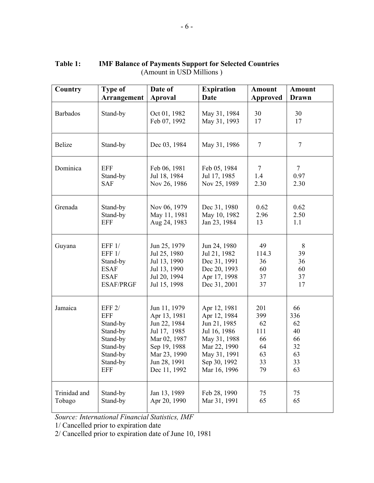| Country         | <b>Type of</b>     | Date of                      | <b>Expiration</b>            | Amount          | <b>Amount</b> |  |
|-----------------|--------------------|------------------------------|------------------------------|-----------------|---------------|--|
|                 | <b>Arrangement</b> | <b>Aproval</b>               | <b>Date</b>                  | <b>Approved</b> | <b>Drawn</b>  |  |
| <b>Barbados</b> | Stand-by           | Oct 01, 1982<br>Feb 07, 1992 | May 31, 1984<br>May 31, 1993 | 30<br>17        | 30<br>17      |  |
| <b>Belize</b>   | Stand-by           | Dec 03, 1984                 | May 31, 1986                 | $\tau$          | $\tau$        |  |
| Dominica        | EFF                | Feb 06, 1981                 | Feb 05, 1984                 | 7               | $\tau$        |  |
|                 | Stand-by           | Jul 18, 1984                 | Jul 17, 1985                 | 1.4             | 0.97          |  |
|                 | <b>SAF</b>         | Nov 26, 1986                 | Nov 25, 1989                 | 2.30            | 2.30          |  |
| Grenada         | Stand-by           | Nov 06, 1979                 | Dec 31, 1980                 | 0.62            | 0.62          |  |
|                 | Stand-by           | May 11, 1981                 | May 10, 1982                 | 2.96            | 2.50          |  |
|                 | <b>EFF</b>         | Aug 24, 1983                 | Jan 23, 1984                 | 13              | 1.1           |  |
| Guyana          | EFF 1/             | Jun 25, 1979                 | Jun 24, 1980                 | 49              | 8             |  |
|                 | EFF $1/$           | Jul 25, 1980                 | Jul 21, 1982                 | 114.3           | 39            |  |
|                 | Stand-by           | Jul 13, 1990                 | Dec 31, 1991                 | 36              | 36            |  |
|                 | <b>ESAF</b>        | Jul 13, 1990                 | Dec 20, 1993                 | 60              | 60            |  |
|                 | <b>ESAF</b>        | Jul 20, 1994                 | Apr 17, 1998                 | 37              | 37            |  |
|                 | <b>ESAF/PRGF</b>   | Jul 15, 1998                 | Dec 31, 2001                 | 37              | 17            |  |
| Jamaica         | EFF 2/             | Jun 11, 1979                 | Apr 12, 1981                 | 201             | 66            |  |
|                 | <b>EFF</b>         | Apr 13, 1981                 | Apr 12, 1984                 | 399             | 336           |  |
|                 | Stand-by           | Jun 22, 1984                 | Jun 21, 1985                 | 62              | 62            |  |
|                 | Stand-by           | Jul 17, 1985                 | Jul 16, 1986                 | 111             | 40            |  |
|                 | Stand-by           | Mar 02, 1987                 | May 31, 1988                 | 66              | 66            |  |
|                 | Stand-by           | Sep 19, 1988                 | Mar 22, 1990                 | 64              | 32            |  |
|                 | Stand-by           | Mar 23, 1990                 | May 31, 1991                 | 63              | 63            |  |
|                 | Stand-by           | Jun 28, 1991                 | Sep 30, 1992                 | 33              | 33            |  |
|                 | <b>EFF</b>         | Dec 11, 1992                 | Mar 16, 1996                 | 79              | 63            |  |
| Trinidad and    | Stand-by           | Jan 13, 1989                 | Feb 28, 1990                 | 75              | 75            |  |
| Tobago          | Stand-by           | Apr 20, 1990                 | Mar 31, 1991                 | 65              | 65            |  |

### **Table 1: IMF Balance of Payments Support for Selected Countries**  (Amount in USD Millions )

*Source: International Financial Statistics, IMF* 

1/ Cancelled prior to expiration date

2/ Cancelled prior to expiration date of June 10, 1981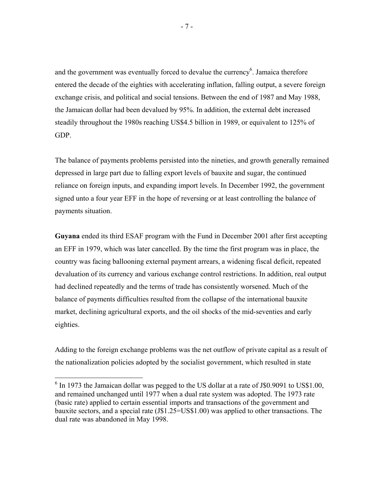and the government was eventually forced to devalue the currency<sup>6</sup>. Jamaica therefore entered the decade of the eighties with accelerating inflation, falling output, a severe foreign exchange crisis, and political and social tensions. Between the end of 1987 and May 1988, the Jamaican dollar had been devalued by 95%. In addition, the external debt increased steadily throughout the 1980s reaching US\$4.5 billion in 1989, or equivalent to 125% of GDP.

The balance of payments problems persisted into the nineties, and growth generally remained depressed in large part due to falling export levels of bauxite and sugar, the continued reliance on foreign inputs, and expanding import levels. In December 1992, the government signed unto a four year EFF in the hope of reversing or at least controlling the balance of payments situation.

**Guyana** ended its third ESAF program with the Fund in December 2001 after first accepting an EFF in 1979, which was later cancelled. By the time the first program was in place, the country was facing ballooning external payment arrears, a widening fiscal deficit, repeated devaluation of its currency and various exchange control restrictions. In addition, real output had declined repeatedly and the terms of trade has consistently worsened. Much of the balance of payments difficulties resulted from the collapse of the international bauxite market, declining agricultural exports, and the oil shocks of the mid-seventies and early eighties.

Adding to the foreign exchange problems was the net outflow of private capital as a result of the nationalization policies adopted by the socialist government, which resulted in state

 $\overline{a}$ 

 $6$  In 1973 the Jamaican dollar was pegged to the US dollar at a rate of J\$0.9091 to US\$1.00, and remained unchanged until 1977 when a dual rate system was adopted. The 1973 rate (basic rate) applied to certain essential imports and transactions of the government and bauxite sectors, and a special rate (J\$1.25=US\$1.00) was applied to other transactions. The dual rate was abandoned in May 1998.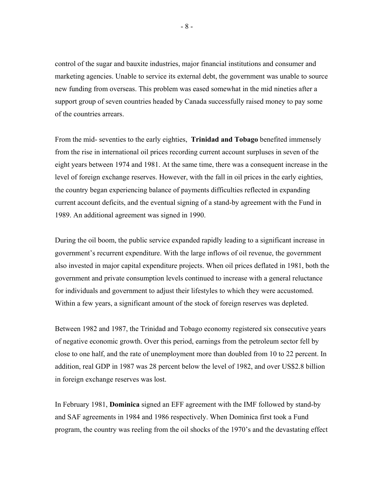control of the sugar and bauxite industries, major financial institutions and consumer and marketing agencies. Unable to service its external debt, the government was unable to source new funding from overseas. This problem was eased somewhat in the mid nineties after a support group of seven countries headed by Canada successfully raised money to pay some of the countries arrears.

From the mid- seventies to the early eighties, **Trinidad and Tobago** benefited immensely from the rise in international oil prices recording current account surpluses in seven of the eight years between 1974 and 1981. At the same time, there was a consequent increase in the level of foreign exchange reserves. However, with the fall in oil prices in the early eighties, the country began experiencing balance of payments difficulties reflected in expanding current account deficits, and the eventual signing of a stand-by agreement with the Fund in 1989. An additional agreement was signed in 1990.

During the oil boom, the public service expanded rapidly leading to a significant increase in government's recurrent expenditure. With the large inflows of oil revenue, the government also invested in major capital expenditure projects. When oil prices deflated in 1981, both the government and private consumption levels continued to increase with a general reluctance for individuals and government to adjust their lifestyles to which they were accustomed. Within a few years, a significant amount of the stock of foreign reserves was depleted.

Between 1982 and 1987, the Trinidad and Tobago economy registered six consecutive years of negative economic growth. Over this period, earnings from the petroleum sector fell by close to one half, and the rate of unemployment more than doubled from 10 to 22 percent. In addition, real GDP in 1987 was 28 percent below the level of 1982, and over US\$2.8 billion in foreign exchange reserves was lost.

In February 1981, **Dominica** signed an EFF agreement with the IMF followed by stand-by and SAF agreements in 1984 and 1986 respectively. When Dominica first took a Fund program, the country was reeling from the oil shocks of the 1970's and the devastating effect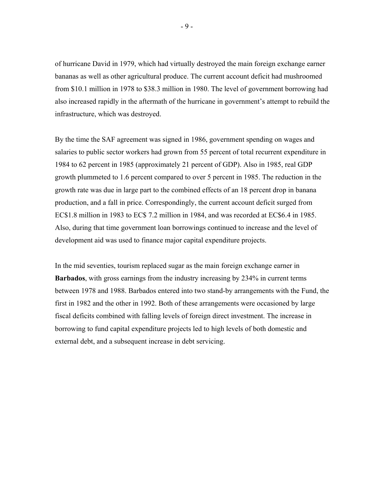of hurricane David in 1979, which had virtually destroyed the main foreign exchange earner bananas as well as other agricultural produce. The current account deficit had mushroomed from \$10.1 million in 1978 to \$38.3 million in 1980. The level of government borrowing had also increased rapidly in the aftermath of the hurricane in government's attempt to rebuild the infrastructure, which was destroyed.

By the time the SAF agreement was signed in 1986, government spending on wages and salaries to public sector workers had grown from 55 percent of total recurrent expenditure in 1984 to 62 percent in 1985 (approximately 21 percent of GDP). Also in 1985, real GDP growth plummeted to 1.6 percent compared to over 5 percent in 1985. The reduction in the growth rate was due in large part to the combined effects of an 18 percent drop in banana production, and a fall in price. Correspondingly, the current account deficit surged from EC\$1.8 million in 1983 to EC\$ 7.2 million in 1984, and was recorded at EC\$6.4 in 1985. Also, during that time government loan borrowings continued to increase and the level of development aid was used to finance major capital expenditure projects.

In the mid seventies, tourism replaced sugar as the main foreign exchange earner in **Barbados**, with gross earnings from the industry increasing by 234% in current terms between 1978 and 1988. Barbados entered into two stand-by arrangements with the Fund, the first in 1982 and the other in 1992. Both of these arrangements were occasioned by large fiscal deficits combined with falling levels of foreign direct investment. The increase in borrowing to fund capital expenditure projects led to high levels of both domestic and external debt, and a subsequent increase in debt servicing.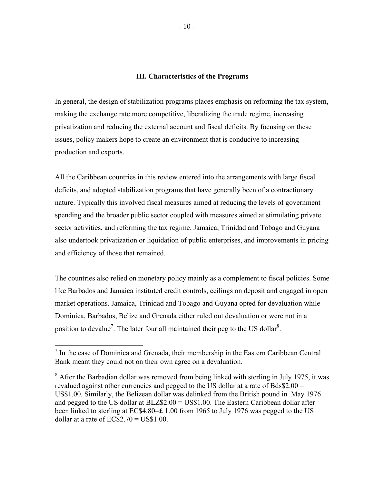#### **III. Characteristics of the Programs**

In general, the design of stabilization programs places emphasis on reforming the tax system, making the exchange rate more competitive, liberalizing the trade regime, increasing privatization and reducing the external account and fiscal deficits. By focusing on these issues, policy makers hope to create an environment that is conducive to increasing production and exports.

All the Caribbean countries in this review entered into the arrangements with large fiscal deficits, and adopted stabilization programs that have generally been of a contractionary nature. Typically this involved fiscal measures aimed at reducing the levels of government spending and the broader public sector coupled with measures aimed at stimulating private sector activities, and reforming the tax regime. Jamaica, Trinidad and Tobago and Guyana also undertook privatization or liquidation of public enterprises, and improvements in pricing and efficiency of those that remained.

The countries also relied on monetary policy mainly as a complement to fiscal policies. Some like Barbados and Jamaica instituted credit controls, ceilings on deposit and engaged in open market operations. Jamaica, Trinidad and Tobago and Guyana opted for devaluation while Dominica, Barbados, Belize and Grenada either ruled out devaluation or were not in a position to devalue<sup>7</sup>. The later four all maintained their peg to the US dollar<sup>8</sup>.

 $\overline{a}$ 

 $<sup>7</sup>$  In the case of Dominica and Grenada, their membership in the Eastern Caribbean Central</sup> Bank meant they could not on their own agree on a devaluation.

 $8$  After the Barbadian dollar was removed from being linked with sterling in July 1975, it was revalued against other currencies and pegged to the US dollar at a rate of Bds\$2.00 = US\$1.00. Similarly, the Belizean dollar was delinked from the British pound in May 1976 and pegged to the US dollar at BLZ\$2.00 = US\$1.00. The Eastern Caribbean dollar after been linked to sterling at EC\$4.80=£ 1.00 from 1965 to July 1976 was pegged to the US dollar at a rate of  $EC$2.70 = US$1.00$ .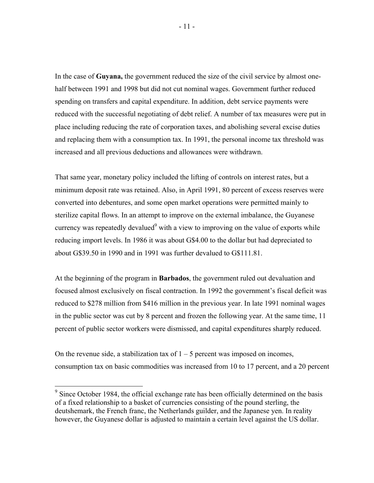In the case of **Guyana,** the government reduced the size of the civil service by almost onehalf between 1991 and 1998 but did not cut nominal wages. Government further reduced spending on transfers and capital expenditure. In addition, debt service payments were reduced with the successful negotiating of debt relief. A number of tax measures were put in place including reducing the rate of corporation taxes, and abolishing several excise duties and replacing them with a consumption tax. In 1991, the personal income tax threshold was increased and all previous deductions and allowances were withdrawn.

That same year, monetary policy included the lifting of controls on interest rates, but a minimum deposit rate was retained. Also, in April 1991, 80 percent of excess reserves were converted into debentures, and some open market operations were permitted mainly to sterilize capital flows. In an attempt to improve on the external imbalance, the Guyanese currency was repeatedly devalued<sup>9</sup> with a view to improving on the value of exports while reducing import levels. In 1986 it was about G\$4.00 to the dollar but had depreciated to about G\$39.50 in 1990 and in 1991 was further devalued to G\$111.81.

At the beginning of the program in **Barbados**, the government ruled out devaluation and focused almost exclusively on fiscal contraction. In 1992 the government's fiscal deficit was reduced to \$278 million from \$416 million in the previous year. In late 1991 nominal wages in the public sector was cut by 8 percent and frozen the following year. At the same time, 11 percent of public sector workers were dismissed, and capital expenditures sharply reduced.

On the revenue side, a stabilization tax of  $1 - 5$  percent was imposed on incomes, consumption tax on basic commodities was increased from 10 to 17 percent, and a 20 percent

<sup>&</sup>lt;sup>9</sup> Since October 1984, the official exchange rate has been officially determined on the basis of a fixed relationship to a basket of currencies consisting of the pound sterling, the deutshemark, the French franc, the Netherlands guilder, and the Japanese yen. In reality however, the Guyanese dollar is adjusted to maintain a certain level against the US dollar.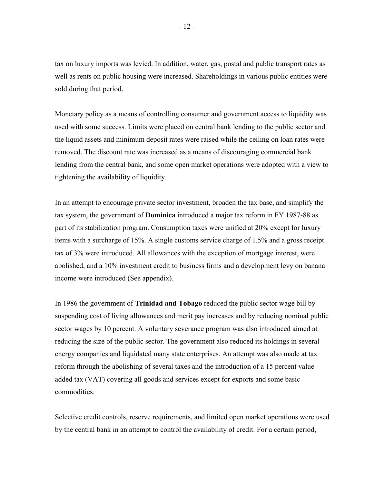tax on luxury imports was levied. In addition, water, gas, postal and public transport rates as well as rents on public housing were increased. Shareholdings in various public entities were sold during that period.

Monetary policy as a means of controlling consumer and government access to liquidity was used with some success. Limits were placed on central bank lending to the public sector and the liquid assets and minimum deposit rates were raised while the ceiling on loan rates were removed. The discount rate was increased as a means of discouraging commercial bank lending from the central bank, and some open market operations were adopted with a view to tightening the availability of liquidity.

In an attempt to encourage private sector investment, broaden the tax base, and simplify the tax system, the government of **Dominica** introduced a major tax reform in FY 1987-88 as part of its stabilization program. Consumption taxes were unified at 20% except for luxury items with a surcharge of 15%. A single customs service charge of 1.5% and a gross receipt tax of 3% were introduced. All allowances with the exception of mortgage interest, were abolished, and a 10% investment credit to business firms and a development levy on banana income were introduced (See appendix).

In 1986 the government of **Trinidad and Tobago** reduced the public sector wage bill by suspending cost of living allowances and merit pay increases and by reducing nominal public sector wages by 10 percent. A voluntary severance program was also introduced aimed at reducing the size of the public sector. The government also reduced its holdings in several energy companies and liquidated many state enterprises. An attempt was also made at tax reform through the abolishing of several taxes and the introduction of a 15 percent value added tax (VAT) covering all goods and services except for exports and some basic commodities.

Selective credit controls, reserve requirements, and limited open market operations were used by the central bank in an attempt to control the availability of credit. For a certain period,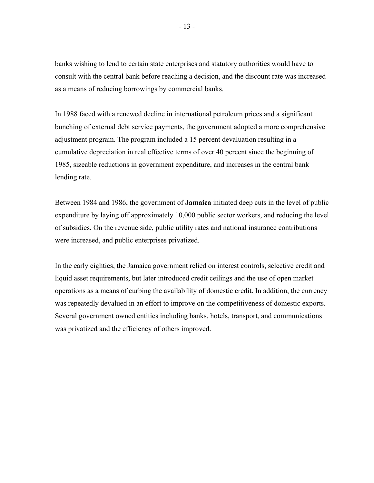banks wishing to lend to certain state enterprises and statutory authorities would have to consult with the central bank before reaching a decision, and the discount rate was increased as a means of reducing borrowings by commercial banks.

In 1988 faced with a renewed decline in international petroleum prices and a significant bunching of external debt service payments, the government adopted a more comprehensive adjustment program. The program included a 15 percent devaluation resulting in a cumulative depreciation in real effective terms of over 40 percent since the beginning of 1985, sizeable reductions in government expenditure, and increases in the central bank lending rate.

Between 1984 and 1986, the government of **Jamaica** initiated deep cuts in the level of public expenditure by laying off approximately 10,000 public sector workers, and reducing the level of subsidies. On the revenue side, public utility rates and national insurance contributions were increased, and public enterprises privatized.

In the early eighties, the Jamaica government relied on interest controls, selective credit and liquid asset requirements, but later introduced credit ceilings and the use of open market operations as a means of curbing the availability of domestic credit. In addition, the currency was repeatedly devalued in an effort to improve on the competitiveness of domestic exports. Several government owned entities including banks, hotels, transport, and communications was privatized and the efficiency of others improved.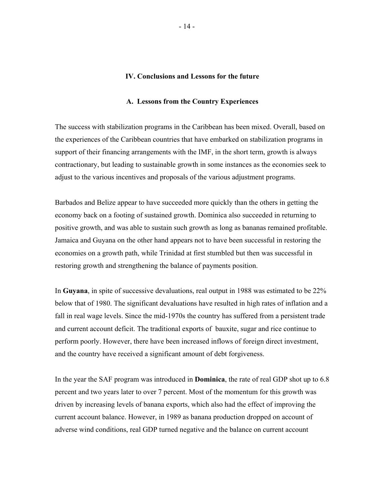#### **IV. Conclusions and Lessons for the future**

#### **A. Lessons from the Country Experiences**

The success with stabilization programs in the Caribbean has been mixed. Overall, based on the experiences of the Caribbean countries that have embarked on stabilization programs in support of their financing arrangements with the IMF, in the short term, growth is always contractionary, but leading to sustainable growth in some instances as the economies seek to adjust to the various incentives and proposals of the various adjustment programs.

Barbados and Belize appear to have succeeded more quickly than the others in getting the economy back on a footing of sustained growth. Dominica also succeeded in returning to positive growth, and was able to sustain such growth as long as bananas remained profitable. Jamaica and Guyana on the other hand appears not to have been successful in restoring the economies on a growth path, while Trinidad at first stumbled but then was successful in restoring growth and strengthening the balance of payments position.

In **Guyana**, in spite of successive devaluations, real output in 1988 was estimated to be 22% below that of 1980. The significant devaluations have resulted in high rates of inflation and a fall in real wage levels. Since the mid-1970s the country has suffered from a persistent trade and current account deficit. The traditional exports of bauxite, sugar and rice continue to perform poorly. However, there have been increased inflows of foreign direct investment, and the country have received a significant amount of debt forgiveness.

In the year the SAF program was introduced in **Dominica**, the rate of real GDP shot up to 6.8 percent and two years later to over 7 percent. Most of the momentum for this growth was driven by increasing levels of banana exports, which also had the effect of improving the current account balance. However, in 1989 as banana production dropped on account of adverse wind conditions, real GDP turned negative and the balance on current account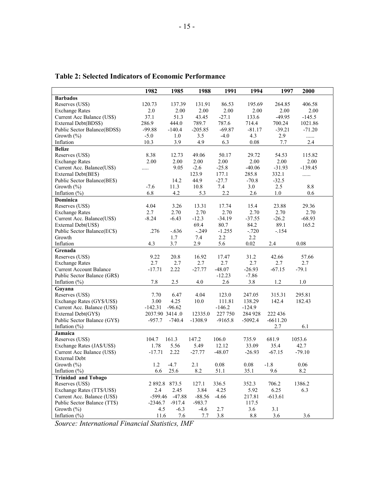|                                | 1982           | 1985          | 1988      | 1991      | 1994      | 1997       | 2000      |
|--------------------------------|----------------|---------------|-----------|-----------|-----------|------------|-----------|
| <b>Barbados</b>                |                |               |           |           |           |            |           |
| Reserves (US\$)                | 120.73         | 137.39        | 131.91    | 86.53     | 195.69    | 264.85     | 406.58    |
| <b>Exchange Rates</b>          | $2.0\,$        | 2.00          | 2.00      | 2.00      | 2.00      | 2.00       | 2.00      |
| Current Acc Balance (US\$)     | 37.1           | 51.3          | 43.45     | $-27.1$   | 133.6     | $-49.95$   | $-145.5$  |
| External Debt(BDS\$)           | 286.9          | 444.0         | 789.7     | 787.6     | 714.4     | 700.24     | 1021.86   |
| Public Sector Balance(BDS\$)   | $-99.88$       | $-140.4$      | $-205.85$ | $-69.87$  | $-81.17$  | $-39.21$   | $-71.20$  |
| Growth $(\% )$                 | $-5.0$         | 1.0           | 3.5       | $-4.0$    | 4.3       | 2.9        | .         |
| Inflation                      | 10.3           | 3.9           | 4.9       | 6.3       | 0.08      | 7.7        | 2.4       |
| <b>Belize</b>                  |                |               |           |           |           |            |           |
| Reserves (US\$)                | 8.38           | 12.73         | 49.06     | 50.17     | 29.72     | 54.53      | 115.82    |
| <b>Exchange Rates</b>          | 2.00           | 2.00          | 2.00      | 2.00      | 2.00      | 2.00       | 2.00      |
| Current Acc. Balance(US\$)     | .              | 9.05          | $-2.6$    | $-25.8$   | $-40.06$  | $-31.93$   | $-139.45$ |
| External Debt(BE\$)            |                |               | 123.9     | 177.1     | 285.8     | 332.1      | .         |
| Public Sector Balance(BE\$)    |                | 14.2          | 44.9      | $-27.7$   | $-70.8$   | $-32.5$    |           |
| Growth (%)                     | $-7.6$         | 11.3          | 10.8      | 7.4       | 3.0       | 2.5        | $8.8\,$   |
| Inflation $(\%)$               | 6.8            | 4.2           | 5.3       | 2.2       | 2.6       | 1.0        | 0.6       |
| <b>Dominica</b>                |                |               |           |           |           |            |           |
| Reserves (US\$)                | 4.04           | 3.26          | 13.31     | 17.74     | 15.4      | 23.88      | 29.36     |
| <b>Exchange Rates</b>          | 2.7            | 2.70          | 2.70      | 2.70      | 2.70      | 2.70       | 2.70      |
| Current Acc. Balance(US\$)     | $-8.24$        | $-6.43$       | $-12.3$   | $-34.19$  | $-37.55$  | $-26.2$    | $-68.93$  |
| External Debt(US\$)            |                |               | 69.4      | 80.7      | 84.2      | 89.1       | 165.2     |
| Public Sector Balance(EC\$)    | .276           | $-.636$       | $-.249$   | $-1.255$  | $-.720$   | $-.154$    |           |
| Growth                         |                | 1.7           | 7.4       | 2.2       | 2.2       |            |           |
| Inflation                      | 4.3            | 3.7           | 2.9       | 5.6       | 0.02      | 2.4        | 0.08      |
| Grenada                        |                |               |           |           |           |            |           |
| Reserves (US\$)                | 9.22           | 20.8          | 16.92     | 17.47     | 31.2      | 42.66      | 57.66     |
| <b>Exchange Rates</b>          | 2.7            | 2.7           | 2.7       | 2.7       | 2.7       | 2.7        | 2.7       |
| <b>Current Account Balance</b> | $-17.71$       | 2.22          | $-27.77$  | $-48.07$  | $-26.93$  | $-67.15$   | $-79.1$   |
| Public Sector Balance (GR\$)   |                |               |           | $-12.23$  | $-7.86$   |            |           |
| Inflation $(\%)$               | 7.8            | 2.5           | $4.0\,$   | 2.6       | 3.8       | $1.2\,$    | $1.0\,$   |
| Guyana                         |                |               |           |           |           |            |           |
| Reserves (US\$)                | 7.70           | 6.47          | 4.04      | 123.0     | 247.05    | 315.31     | 295.81    |
| Exchange Rates (GY\$/US\$)     | 3.00           | 4.25          | 10.0      | 111.81    | 138.29    | 142.4      | 182.43    |
| Current Acc. Balance (US\$)    | $-142.31$      | $-96.62$      |           | $-146.2$  | $-124.9$  |            |           |
| External Debt(GY\$)            | 2037.90 3414.0 |               | 12335.0   | 227 750   | 284 928   | 222 436    |           |
| Public Sector Balance (GY\$)   | $-957.7$       | $-740.4$      | $-1308.9$ | $-9165.8$ | $-5092.4$ | $-6611.20$ |           |
| Inflation $(\%)$               |                |               |           |           |           | 2.7        | 6.1       |
| Jamaica                        |                |               |           |           |           |            |           |
| Reserves (US\$)                | 104.7          | 161.3         | 147.2     | 106.0     | 735.9     | 681.9      | 1053.6    |
| Exchange Rates (JA\$/US\$)     | 1.78           | 5.56          | 5.49      | 12.12     | 33.09     | 35.4       | 42.7      |
| Current Acc Balance (US\$)     | $-17.71$       | 2.22          | $-27.77$  | $-48.07$  | $-26.93$  | $-67.15$   | $-79.10$  |
| <b>External Debt</b>           |                |               |           |           |           |            |           |
| Growth $(\% )$                 | $1.2$          | $-4.7$        | 2.1       | $0.08\,$  | $0.08\,$  | $-1.8$     | 0.06      |
| Inflation $(\%)$               | 6.6            | 25.6          | 8.2       | 51.1      | 35.1      | 9.6        | 8.2       |
| <b>Trinidad and Tobago</b>     |                |               |           |           |           |            |           |
| Reserves (US\$)                |                | 2 892.8 873.5 | 127.1     | 336.5     | 352.3     | 706.2      | 1386.2    |
| Exchange Rates (TT\$/US\$)     | 2.4            | 2.45          | 3.84      | 4.25      | 5.92      | 6.25       | 6.3       |
| Current Acc. Balance (US\$)    | $-599.46$      | $-47.88$      | $-88.56$  | $-4.66$   | 217.81    | $-613.61$  |           |
| Public Sector Balance (TT\$)   | $-2346.7$      | $-917.4$      | $-983.7$  |           | 117.5     |            |           |
| Growth $(\% )$                 | 4.5            | $-6.3$        | $-4.6$    | 2.7       | 3.6       | 3.1        |           |
| Inflation $(\% )$              | 11.6           | 7.6           | 7.7       | 3.8       | $8.8\,$   | 3.6        | 3.6       |

**Table 2: Selected Indicators of Economic Performance** 

*Source: International Financial Statistics, IMF*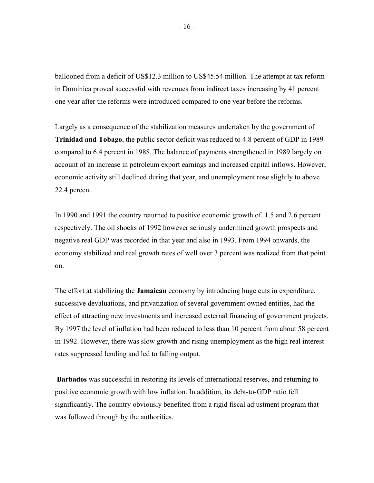ballooned from a deficit of US\$12.3 million to US\$45.54 million. The attempt at tax reform in Dominica proved successful with revenues from indirect taxes increasing by 41 percent one year after the reforms were introduced compared to one year before the reforms.

Largely as a consequence of the stabilization measures undertaken by the government of **Trinidad and Tobago**, the public sector deficit was reduced to 4.8 percent of GDP in 1989 compared to 6.4 percent in 1988. The balance of payments strengthened in 1989 largely on account of an increase in petroleum export earnings and increased capital inflows. However, economic activity still declined during that year, and unemployment rose slightly to above 22.4 percent.

In 1990 and 1991 the country returned to positive economic growth of 1.5 and 2.6 percent respectively. The oil shocks of 1992 however seriously undermined growth prospects and negative real GDP was recorded in that year and also in 1993. From 1994 onwards, the economy stabilized and real growth rates of well over 3 percent was realized from that point on.

The effort at stabilizing the **Jamaican** economy by introducing huge cuts in expenditure, successive devaluations, and privatization of several government owned entities, had the effect of attracting new investments and increased external financing of government projects. By 1997 the level of inflation had been reduced to less than 10 percent from about 58 percent in 1992. However, there was slow growth and rising unemployment as the high real interest rates suppressed lending and led to falling output.

 **Barbados** was successful in restoring its levels of international reserves, and returning to positive economic growth with low inflation. In addition, its debt-to-GDP ratio fell significantly. The country obviously benefited from a rigid fiscal adjustment program that was followed through by the authorities.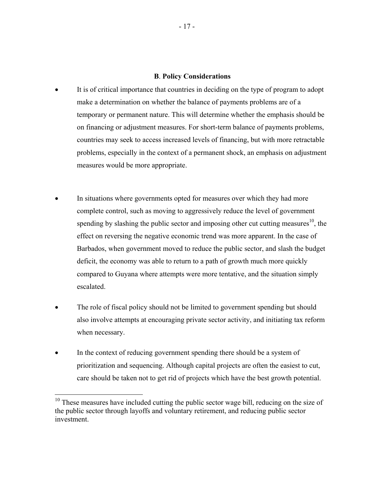#### **B**. **Policy Considerations**

- It is of critical importance that countries in deciding on the type of program to adopt make a determination on whether the balance of payments problems are of a temporary or permanent nature. This will determine whether the emphasis should be on financing or adjustment measures. For short-term balance of payments problems, countries may seek to access increased levels of financing, but with more retractable problems, especially in the context of a permanent shock, an emphasis on adjustment measures would be more appropriate.
- In situations where governments opted for measures over which they had more complete control, such as moving to aggressively reduce the level of government spending by slashing the public sector and imposing other cut cutting measures<sup>10</sup>, the effect on reversing the negative economic trend was more apparent. In the case of Barbados, when government moved to reduce the public sector, and slash the budget deficit, the economy was able to return to a path of growth much more quickly compared to Guyana where attempts were more tentative, and the situation simply escalated.
- The role of fiscal policy should not be limited to government spending but should also involve attempts at encouraging private sector activity, and initiating tax reform when necessary.
- In the context of reducing government spending there should be a system of prioritization and sequencing. Although capital projects are often the easiest to cut, care should be taken not to get rid of projects which have the best growth potential.

1

 $10$  These measures have included cutting the public sector wage bill, reducing on the size of the public sector through layoffs and voluntary retirement, and reducing public sector investment.